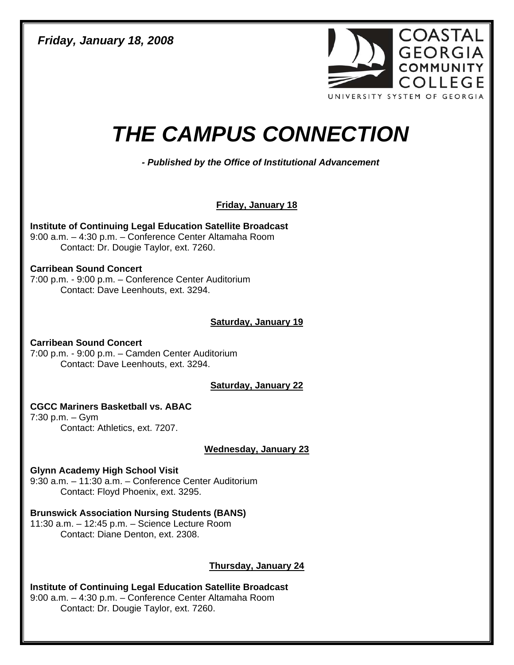*Friday, January 18, 2008* 



# *THE CAMPUS CONNECTION*

*- Published by the Office of Institutional Advancement* 

**Friday, January 18**

**Institute of Continuing Legal Education Satellite Broadcast**  9:00 a.m. – 4:30 p.m. – Conference Center Altamaha Room Contact: Dr. Dougie Taylor, ext. 7260.

# **Carribean Sound Concert**

7:00 p.m. - 9:00 p.m. – Conference Center Auditorium Contact: Dave Leenhouts, ext. 3294.

# **Saturday, January 19**

**Carribean Sound Concert**  7:00 p.m. - 9:00 p.m. – Camden Center Auditorium Contact: Dave Leenhouts, ext. 3294.

**Saturday, January 22**

# **CGCC Mariners Basketball vs. ABAC**

7:30 p.m. – Gym Contact: Athletics, ext. 7207.

**Wednesday, January 23**

# **Glynn Academy High School Visit**

9:30 a.m. – 11:30 a.m. – Conference Center Auditorium Contact: Floyd Phoenix, ext. 3295.

**Brunswick Association Nursing Students (BANS)**  11:30 a.m. – 12:45 p.m. – Science Lecture Room

Contact: Diane Denton, ext. 2308.

# **Thursday, January 24**

**Institute of Continuing Legal Education Satellite Broadcast**  9:00 a.m. – 4:30 p.m. – Conference Center Altamaha Room Contact: Dr. Dougie Taylor, ext. 7260.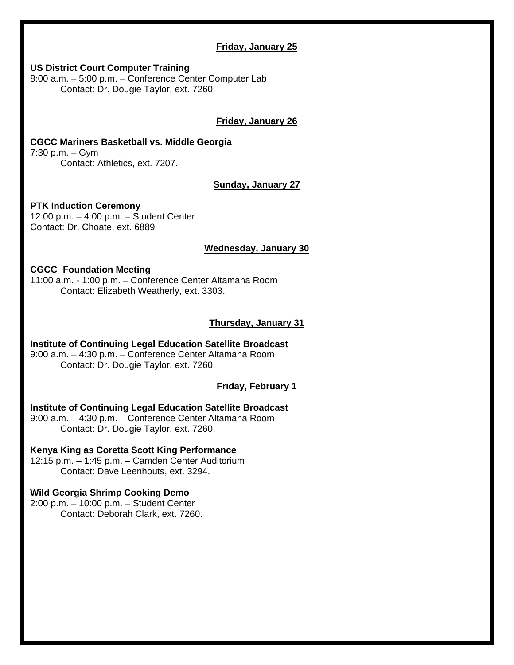# **Friday, January 25**

#### **US District Court Computer Training**

8:00 a.m. – 5:00 p.m. – Conference Center Computer Lab Contact: Dr. Dougie Taylor, ext. 7260.

# **Friday, January 26**

#### **CGCC Mariners Basketball vs. Middle Georgia**  7:30 p.m. – Gym

Contact: Athletics, ext. 7207.

# **Sunday, January 27**

# **PTK Induction Ceremony**

12:00 p.m. – 4:00 p.m. – Student Center Contact: Dr. Choate, ext. 6889

#### **Wednesday, January 30**

# **CGCC Foundation Meeting**

11:00 a.m. - 1:00 p.m. – Conference Center Altamaha Room Contact: Elizabeth Weatherly, ext. 3303.

# **Thursday, January 31**

#### **Institute of Continuing Legal Education Satellite Broadcast**  9:00 a.m. – 4:30 p.m. – Conference Center Altamaha Room Contact: Dr. Dougie Taylor, ext. 7260.

# **Friday, February 1**

**Institute of Continuing Legal Education Satellite Broadcast**  9:00 a.m. – 4:30 p.m. – Conference Center Altamaha Room Contact: Dr. Dougie Taylor, ext. 7260.

# **Kenya King as Coretta Scott King Performance**

12:15 p.m. – 1:45 p.m. – Camden Center Auditorium Contact: Dave Leenhouts, ext. 3294.

# **Wild Georgia Shrimp Cooking Demo**

2:00 p.m. – 10:00 p.m. – Student Center Contact: Deborah Clark, ext. 7260.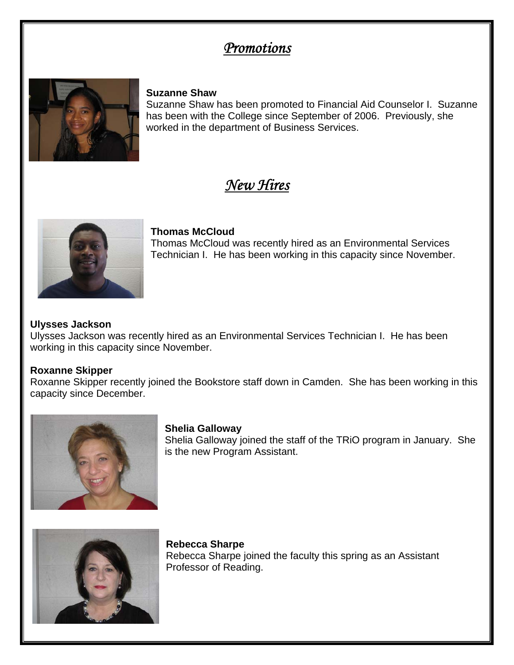# *Promotions*



# **Suzanne Shaw**

Suzanne Shaw has been promoted to Financial Aid Counselor I. Suzanne has been with the College since September of 2006. Previously, she worked in the department of Business Services.

# *New Hires*



# **Thomas McCloud**

Thomas McCloud was recently hired as an Environmental Services Technician I. He has been working in this capacity since November.

# **Ulysses Jackson**

Ulysses Jackson was recently hired as an Environmental Services Technician I. He has been working in this capacity since November.

# **Roxanne Skipper**

Roxanne Skipper recently joined the Bookstore staff down in Camden. She has been working in this capacity since December.



# **Shelia Galloway**

Shelia Galloway joined the staff of the TRiO program in January. She is the new Program Assistant.



**Rebecca Sharpe**  Rebecca Sharpe joined the faculty this spring as an Assistant Professor of Reading.